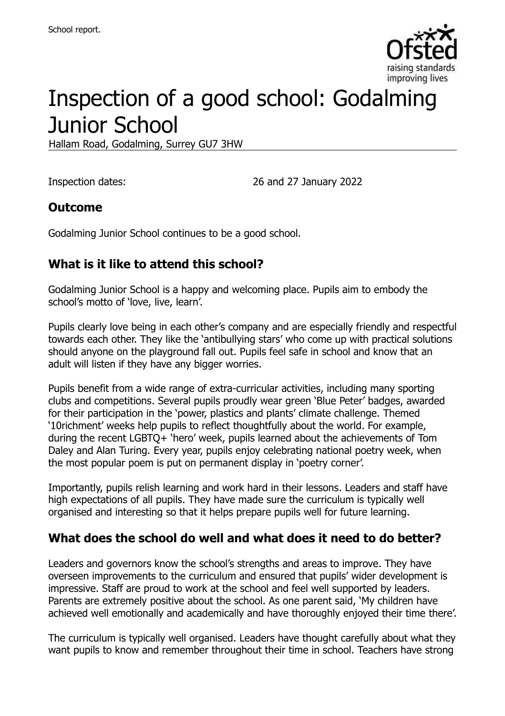

# Inspection of a good school: Godalming Junior School

Hallam Road, Godalming, Surrey GU7 3HW

Inspection dates: 26 and 27 January 2022

#### **Outcome**

Godalming Junior School continues to be a good school.

### **What is it like to attend this school?**

Godalming Junior School is a happy and welcoming place. Pupils aim to embody the school's motto of 'love, live, learn'.

Pupils clearly love being in each other's company and are especially friendly and respectful towards each other. They like the 'antibullying stars' who come up with practical solutions should anyone on the playground fall out. Pupils feel safe in school and know that an adult will listen if they have any bigger worries.

Pupils benefit from a wide range of extra-curricular activities, including many sporting clubs and competitions. Several pupils proudly wear green 'Blue Peter' badges, awarded for their participation in the 'power, plastics and plants' climate challenge. Themed '10richment' weeks help pupils to reflect thoughtfully about the world. For example, during the recent LGBTQ+ 'hero' week, pupils learned about the achievements of Tom Daley and Alan Turing. Every year, pupils enjoy celebrating national poetry week, when the most popular poem is put on permanent display in 'poetry corner'.

Importantly, pupils relish learning and work hard in their lessons. Leaders and staff have high expectations of all pupils. They have made sure the curriculum is typically well organised and interesting so that it helps prepare pupils well for future learning.

#### **What does the school do well and what does it need to do better?**

Leaders and governors know the school's strengths and areas to improve. They have overseen improvements to the curriculum and ensured that pupils' wider development is impressive. Staff are proud to work at the school and feel well supported by leaders. Parents are extremely positive about the school. As one parent said, 'My children have achieved well emotionally and academically and have thoroughly enjoyed their time there'.

The curriculum is typically well organised. Leaders have thought carefully about what they want pupils to know and remember throughout their time in school. Teachers have strong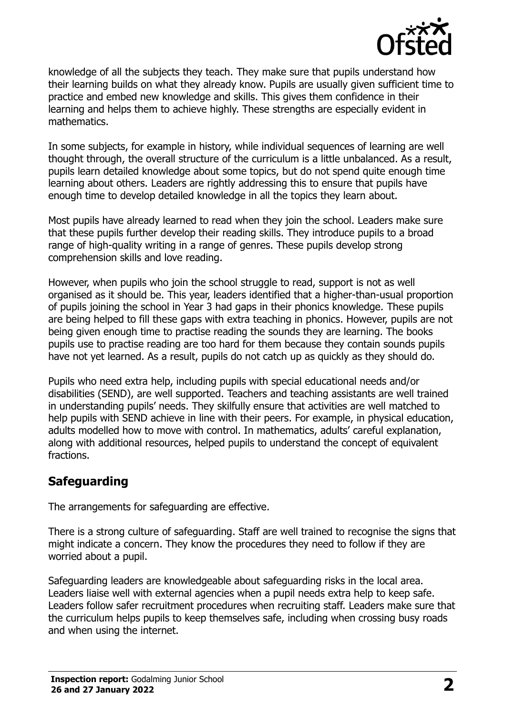

knowledge of all the subjects they teach. They make sure that pupils understand how their learning builds on what they already know. Pupils are usually given sufficient time to practice and embed new knowledge and skills. This gives them confidence in their learning and helps them to achieve highly. These strengths are especially evident in mathematics.

In some subjects, for example in history, while individual sequences of learning are well thought through, the overall structure of the curriculum is a little unbalanced. As a result, pupils learn detailed knowledge about some topics, but do not spend quite enough time learning about others. Leaders are rightly addressing this to ensure that pupils have enough time to develop detailed knowledge in all the topics they learn about.

Most pupils have already learned to read when they join the school. Leaders make sure that these pupils further develop their reading skills. They introduce pupils to a broad range of high-quality writing in a range of genres. These pupils develop strong comprehension skills and love reading.

However, when pupils who join the school struggle to read, support is not as well organised as it should be. This year, leaders identified that a higher-than-usual proportion of pupils joining the school in Year 3 had gaps in their phonics knowledge. These pupils are being helped to fill these gaps with extra teaching in phonics. However, pupils are not being given enough time to practise reading the sounds they are learning. The books pupils use to practise reading are too hard for them because they contain sounds pupils have not yet learned. As a result, pupils do not catch up as quickly as they should do.

Pupils who need extra help, including pupils with special educational needs and/or disabilities (SEND), are well supported. Teachers and teaching assistants are well trained in understanding pupils' needs. They skilfully ensure that activities are well matched to help pupils with SEND achieve in line with their peers. For example, in physical education, adults modelled how to move with control. In mathematics, adults' careful explanation, along with additional resources, helped pupils to understand the concept of equivalent fractions.

### **Safeguarding**

The arrangements for safeguarding are effective.

There is a strong culture of safeguarding. Staff are well trained to recognise the signs that might indicate a concern. They know the procedures they need to follow if they are worried about a pupil.

Safeguarding leaders are knowledgeable about safeguarding risks in the local area. Leaders liaise well with external agencies when a pupil needs extra help to keep safe. Leaders follow safer recruitment procedures when recruiting staff. Leaders make sure that the curriculum helps pupils to keep themselves safe, including when crossing busy roads and when using the internet.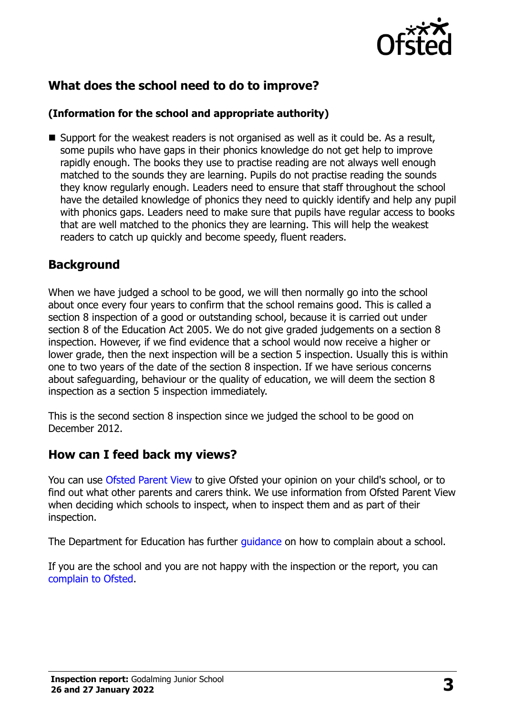

### **What does the school need to do to improve?**

#### **(Information for the school and appropriate authority)**

 $\blacksquare$  Support for the weakest readers is not organised as well as it could be. As a result, some pupils who have gaps in their phonics knowledge do not get help to improve rapidly enough. The books they use to practise reading are not always well enough matched to the sounds they are learning. Pupils do not practise reading the sounds they know regularly enough. Leaders need to ensure that staff throughout the school have the detailed knowledge of phonics they need to quickly identify and help any pupil with phonics gaps. Leaders need to make sure that pupils have regular access to books that are well matched to the phonics they are learning. This will help the weakest readers to catch up quickly and become speedy, fluent readers.

#### **Background**

When we have judged a school to be good, we will then normally go into the school about once every four years to confirm that the school remains good. This is called a section 8 inspection of a good or outstanding school, because it is carried out under section 8 of the Education Act 2005. We do not give graded judgements on a section 8 inspection. However, if we find evidence that a school would now receive a higher or lower grade, then the next inspection will be a section 5 inspection. Usually this is within one to two years of the date of the section 8 inspection. If we have serious concerns about safeguarding, behaviour or the quality of education, we will deem the section 8 inspection as a section 5 inspection immediately.

This is the second section 8 inspection since we judged the school to be good on December 2012.

#### **How can I feed back my views?**

You can use [Ofsted Parent View](https://parentview.ofsted.gov.uk/) to give Ofsted your opinion on your child's school, or to find out what other parents and carers think. We use information from Ofsted Parent View when deciding which schools to inspect, when to inspect them and as part of their inspection.

The Department for Education has further *guidance* on how to complain about a school.

If you are the school and you are not happy with the inspection or the report, you can [complain to Ofsted.](https://www.gov.uk/complain-ofsted-report)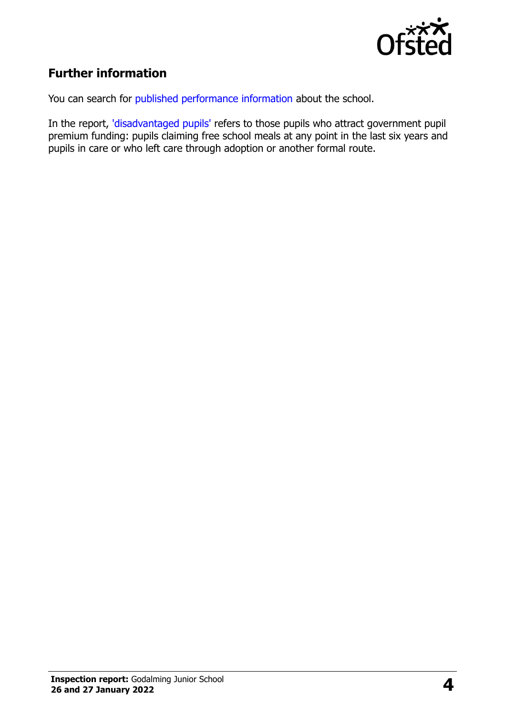

## **Further information**

You can search for [published performance information](http://www.compare-school-performance.service.gov.uk/) about the school.

In the report, ['disadvantaged pupils'](http://www.gov.uk/guidance/pupil-premium-information-for-schools-and-alternative-provision-settings) refers to those pupils who attract government pupil premium funding: pupils claiming free school meals at any point in the last six years and pupils in care or who left care through adoption or another formal route.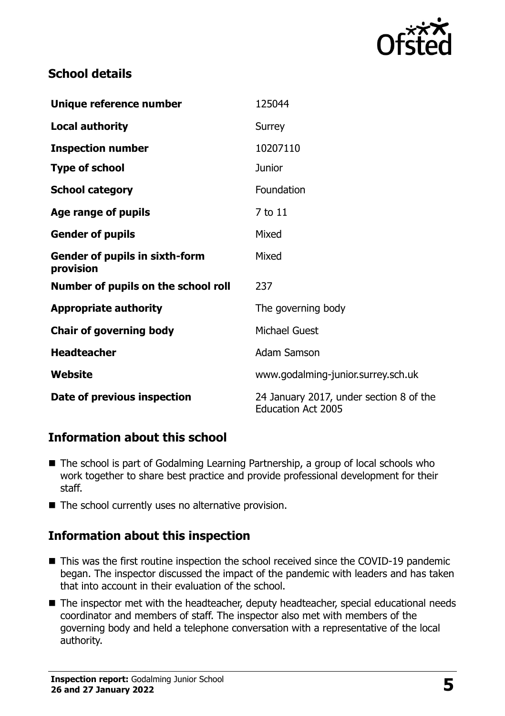

#### **School details**

| Unique reference number                     | 125044                                                               |
|---------------------------------------------|----------------------------------------------------------------------|
| <b>Local authority</b>                      | Surrey                                                               |
| <b>Inspection number</b>                    | 10207110                                                             |
| <b>Type of school</b>                       | <b>Junior</b>                                                        |
| <b>School category</b>                      | Foundation                                                           |
| Age range of pupils                         | 7 to 11                                                              |
| <b>Gender of pupils</b>                     | Mixed                                                                |
| Gender of pupils in sixth-form<br>provision | Mixed                                                                |
| Number of pupils on the school roll         | 237                                                                  |
| <b>Appropriate authority</b>                | The governing body                                                   |
| <b>Chair of governing body</b>              | <b>Michael Guest</b>                                                 |
| <b>Headteacher</b>                          | <b>Adam Samson</b>                                                   |
| Website                                     | www.godalming-junior.surrey.sch.uk                                   |
| Date of previous inspection                 | 24 January 2017, under section 8 of the<br><b>Education Act 2005</b> |

### **Information about this school**

- The school is part of Godalming Learning Partnership, a group of local schools who work together to share best practice and provide professional development for their staff.
- $\blacksquare$  The school currently uses no alternative provision.

### **Information about this inspection**

- This was the first routine inspection the school received since the COVID-19 pandemic began. The inspector discussed the impact of the pandemic with leaders and has taken that into account in their evaluation of the school.
- The inspector met with the headteacher, deputy headteacher, special educational needs coordinator and members of staff. The inspector also met with members of the governing body and held a telephone conversation with a representative of the local authority.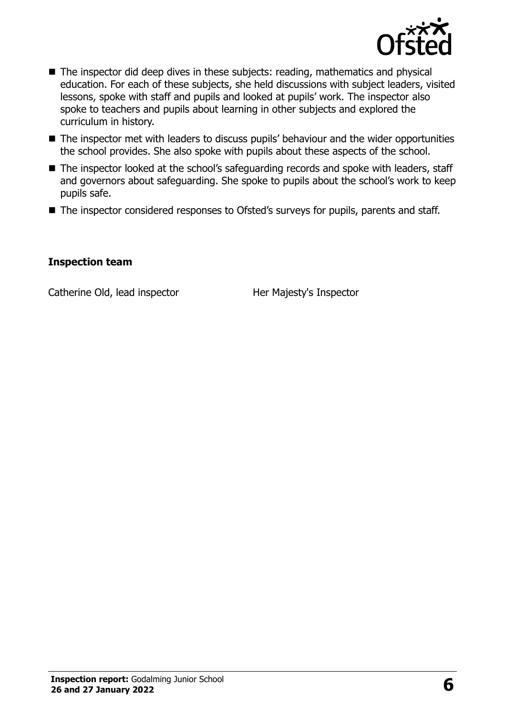

- The inspector did deep dives in these subjects: reading, mathematics and physical education. For each of these subjects, she held discussions with subject leaders, visited lessons, spoke with staff and pupils and looked at pupils' work. The inspector also spoke to teachers and pupils about learning in other subjects and explored the curriculum in history.
- The inspector met with leaders to discuss pupils' behaviour and the wider opportunities the school provides. She also spoke with pupils about these aspects of the school.
- The inspector looked at the school's safeguarding records and spoke with leaders, staff and governors about safeguarding. She spoke to pupils about the school's work to keep pupils safe.
- The inspector considered responses to Ofsted's surveys for pupils, parents and staff.

#### **Inspection team**

Catherine Old, lead inspector Her Majesty's Inspector